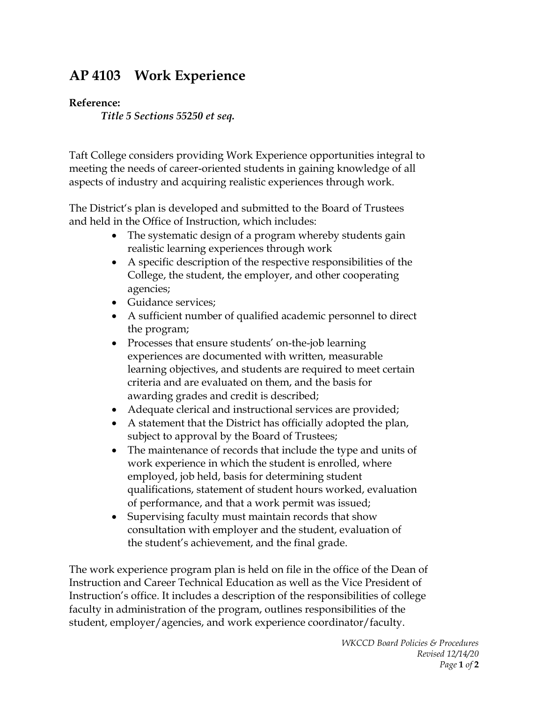## **AP 4103 Work Experience**

## **Reference:**

*Title 5 Sections 55250 et seq.*

Taft College considers providing Work Experience opportunities integral to meeting the needs of career-oriented students in gaining knowledge of all aspects of industry and acquiring realistic experiences through work.

The District's plan is developed and submitted to the Board of Trustees and held in the Office of Instruction, which includes:

- The systematic design of a program whereby students gain realistic learning experiences through work
- A specific description of the respective responsibilities of the College, the student, the employer, and other cooperating agencies;
- Guidance services;
- A sufficient number of qualified academic personnel to direct the program;
- Processes that ensure students' on-the-job learning experiences are documented with written, measurable learning objectives, and students are required to meet certain criteria and are evaluated on them, and the basis for awarding grades and credit is described;
- Adequate clerical and instructional services are provided;
- A statement that the District has officially adopted the plan, subject to approval by the Board of Trustees;
- The maintenance of records that include the type and units of work experience in which the student is enrolled, where employed, job held, basis for determining student qualifications, statement of student hours worked, evaluation of performance, and that a work permit was issued;
- Supervising faculty must maintain records that show consultation with employer and the student, evaluation of the student's achievement, and the final grade.

The work experience program plan is held on file in the office of the Dean of Instruction and Career Technical Education as well as the Vice President of Instruction's office. It includes a description of the responsibilities of college faculty in administration of the program, outlines responsibilities of the student, employer/agencies, and work experience coordinator/faculty.